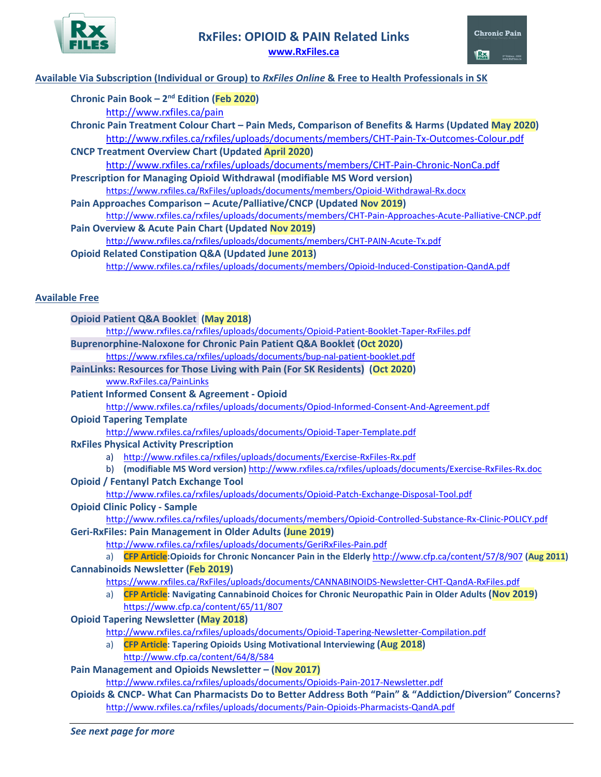



## **Available Via Subscription (Individual or Group) to** *RxFiles Online* **& Free to Health Professionals in SK**

| Chronic Pain Book $-2^{nd}$ Edition (Feb 2020)                                                                                                                               |
|------------------------------------------------------------------------------------------------------------------------------------------------------------------------------|
| http://www.rxfiles.ca/pain                                                                                                                                                   |
| Chronic Pain Treatment Colour Chart - Pain Meds, Comparison of Benefits & Harms (Updated May 2020)                                                                           |
| http://www.rxfiles.ca/rxfiles/uploads/documents/members/CHT-Pain-Tx-Outcomes-Colour.pdf                                                                                      |
| <b>CNCP Treatment Overview Chart (Updated April 2020)</b>                                                                                                                    |
| http://www.rxfiles.ca/rxfiles/uploads/documents/members/CHT-Pain-Chronic-NonCa.pdf                                                                                           |
| Prescription for Managing Opioid Withdrawal (modifiable MS Word version)                                                                                                     |
| https://www.rxfiles.ca/RxFiles/uploads/documents/members/Opioid-Withdrawal-Rx.docx                                                                                           |
| Pain Approaches Comparison - Acute/Palliative/CNCP (Updated Nov 2019)                                                                                                        |
| http://www.rxfiles.ca/rxfiles/uploads/documents/members/CHT-Pain-Approaches-Acute-Palliative-CNCP.pdf                                                                        |
| Pain Overview & Acute Pain Chart (Updated Nov 2019)                                                                                                                          |
| http://www.rxfiles.ca/rxfiles/uploads/documents/members/CHT-PAIN-Acute-Tx.pdf                                                                                                |
| <b>Opioid Related Constipation Q&amp;A (Updated June 2013)</b>                                                                                                               |
| http://www.rxfiles.ca/rxfiles/uploads/documents/members/Opioid-Induced-Constipation-QandA.pdf                                                                                |
|                                                                                                                                                                              |
|                                                                                                                                                                              |
| <b>Available Free</b>                                                                                                                                                        |
| <b>Opioid Patient Q&amp;A Booklet (May 2018)</b>                                                                                                                             |
| http://www.rxfiles.ca/rxfiles/uploads/documents/Opioid-Patient-Booklet-Taper-RxFiles.pdf                                                                                     |
| Buprenorphine-Naloxone for Chronic Pain Patient Q&A Booklet (Oct 2020)                                                                                                       |
| https://www.rxfiles.ca/rxfiles/uploads/documents/bup-nal-patient-booklet.pdf                                                                                                 |
| PainLinks: Resources for Those Living with Pain (For SK Residents) (Oct 2020)                                                                                                |
| www.RxFiles.ca/PainLinks                                                                                                                                                     |
| <b>Patient Informed Consent &amp; Agreement - Opioid</b>                                                                                                                     |
| http://www.rxfiles.ca/rxfiles/uploads/documents/Opiod-Informed-Consent-And-Agreement.pdf                                                                                     |
| <b>Opioid Tapering Template</b>                                                                                                                                              |
| http://www.rxfiles.ca/rxfiles/uploads/documents/Opioid-Taper-Template.pdf                                                                                                    |
| <b>RxFiles Physical Activity Prescription</b>                                                                                                                                |
| a) http://www.rxfiles.ca/rxfiles/uploads/documents/Exercise-RxFiles-Rx.pdf                                                                                                   |
| b) (modifiable MS Word version) http://www.rxfiles.ca/rxfiles/uploads/documents/Exercise-RxFiles-Rx.doc                                                                      |
| <b>Opioid / Fentanyl Patch Exchange Tool</b>                                                                                                                                 |
| http://www.rxfiles.ca/rxfiles/uploads/documents/Opioid-Patch-Exchange-Disposal-Tool.pdf                                                                                      |
| <b>Opioid Clinic Policy - Sample</b>                                                                                                                                         |
|                                                                                                                                                                              |
| http://www.rxfiles.ca/rxfiles/uploads/documents/members/Opioid-Controlled-Substance-Rx-Clinic-POLICY.pdf<br><b>Geri-RxFiles: Pain Management in Older Adults (June 2019)</b> |
| http://www.rxfiles.ca/rxfiles/uploads/documents/GeriRxFiles-Pain.pdf                                                                                                         |
| a) CFP Article: Opioids for Chronic Noncancer Pain in the Elderly http://www.cfp.ca/content/57/8/907 (Aug 2011)                                                              |
| <b>Cannabinoids Newsletter (Feb 2019)</b>                                                                                                                                    |
| https://www.rxfiles.ca/RxFiles/uploads/documents/CANNABINOIDS-Newsletter-CHT-QandA-RxFiles.pdf                                                                               |
|                                                                                                                                                                              |
| CFP Article: Navigating Cannabinoid Choices for Chronic Neuropathic Pain in Older Adults (Nov 2019)<br>a)                                                                    |
| https://www.cfp.ca/content/65/11/807                                                                                                                                         |
| <b>Opioid Tapering Newsletter (May 2018)</b>                                                                                                                                 |
| http://www.rxfiles.ca/rxfiles/uploads/documents/Opioid-Tapering-Newsletter-Compilation.pdf                                                                                   |
| a) CFP Article: Tapering Opioids Using Motivational Interviewing (Aug 2018)                                                                                                  |
| http://www.cfp.ca/content/64/8/584                                                                                                                                           |
| Pain Management and Opioids Newsletter - (Nov 2017)                                                                                                                          |
| http://www.rxfiles.ca/rxfiles/uploads/documents/Opioids-Pain-2017-Newsletter.pdf                                                                                             |
| Opioids & CNCP- What Can Pharmacists Do to Better Address Both "Pain" & "Addiction/Diversion" Concerns?                                                                      |
| http://www.rxfiles.ca/rxfiles/uploads/documents/Pain-Opioids-Pharmacists-QandA.pdf                                                                                           |
|                                                                                                                                                                              |